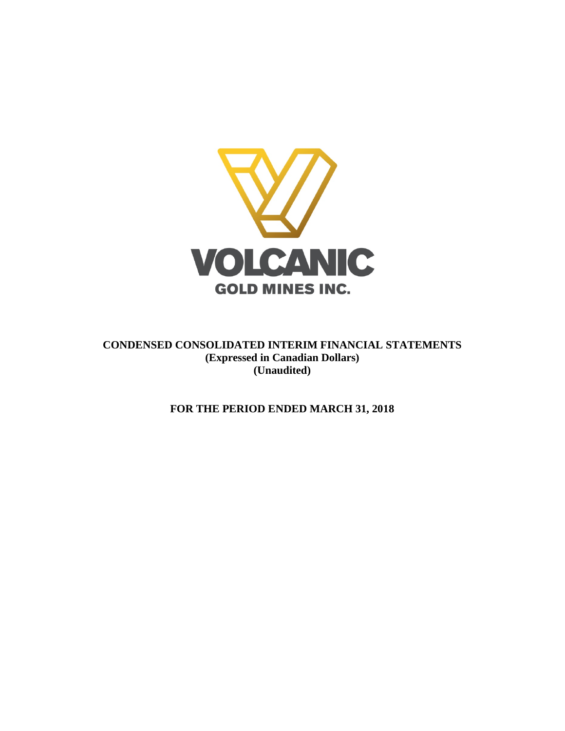

**CONDENSED CONSOLIDATED INTERIM FINANCIAL STATEMENTS (Expressed in Canadian Dollars) (Unaudited)**

**FOR THE PERIOD ENDED MARCH 31, 2018**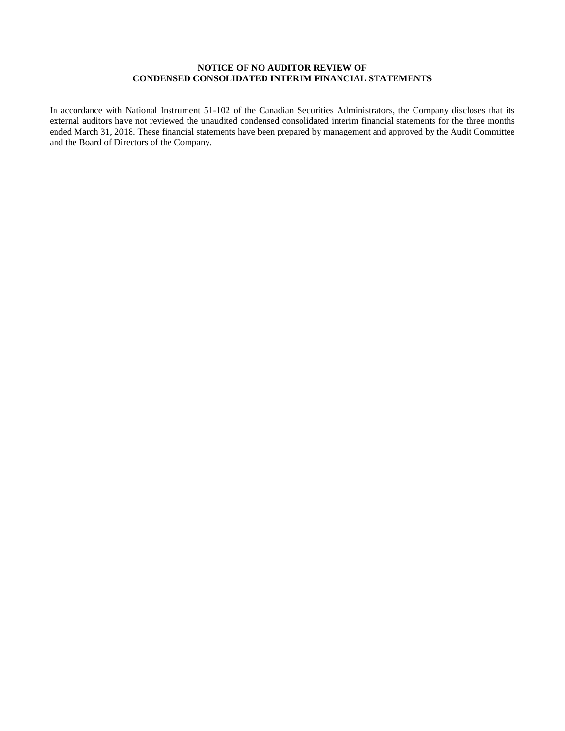## **NOTICE OF NO AUDITOR REVIEW OF CONDENSED CONSOLIDATED INTERIM FINANCIAL STATEMENTS**

In accordance with National Instrument 51-102 of the Canadian Securities Administrators, the Company discloses that its external auditors have not reviewed the unaudited condensed consolidated interim financial statements for the three months ended March 31, 2018. These financial statements have been prepared by management and approved by the Audit Committee and the Board of Directors of the Company.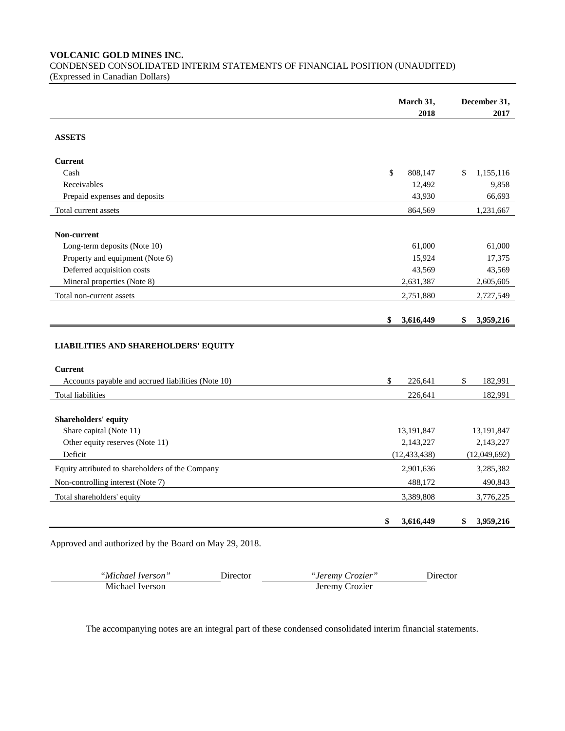**VOLCANIC GOLD MINES INC.**

CONDENSED CONSOLIDATED INTERIM STATEMENTS OF FINANCIAL POSITION (UNAUDITED) (Expressed in Canadian Dollars)

| 2018<br><b>ASSETS</b><br><b>Current</b><br>Cash<br>\$<br>808,147<br>\$<br>Receivables<br>12,492<br>43,930<br>Prepaid expenses and deposits<br>Total current assets<br>864,569<br>Non-current<br>Long-term deposits (Note 10)<br>61,000<br>Property and equipment (Note 6)<br>15,924<br>Deferred acquisition costs<br>43,569<br>Mineral properties (Note 8)<br>2,631,387<br>2,751,880<br>Total non-current assets<br>\$<br>3,616,449<br>\$<br><b>LIABILITIES AND SHAREHOLDERS' EQUITY</b><br><b>Current</b><br>\$<br>Accounts payable and accrued liabilities (Note 10)<br>226,641<br>\$<br><b>Total liabilities</b><br>226,641<br>Shareholders' equity<br>Share capital (Note 11)<br>13,191,847<br>2,143,227<br>Other equity reserves (Note 11)<br>Deficit<br>(12, 433, 438)<br>Equity attributed to shareholders of the Company<br>2,901,636<br>Non-controlling interest (Note 7)<br>488,172 | March 31, | December 31, |
|-----------------------------------------------------------------------------------------------------------------------------------------------------------------------------------------------------------------------------------------------------------------------------------------------------------------------------------------------------------------------------------------------------------------------------------------------------------------------------------------------------------------------------------------------------------------------------------------------------------------------------------------------------------------------------------------------------------------------------------------------------------------------------------------------------------------------------------------------------------------------------------------------|-----------|--------------|
|                                                                                                                                                                                                                                                                                                                                                                                                                                                                                                                                                                                                                                                                                                                                                                                                                                                                                               |           | 2017         |
|                                                                                                                                                                                                                                                                                                                                                                                                                                                                                                                                                                                                                                                                                                                                                                                                                                                                                               |           |              |
|                                                                                                                                                                                                                                                                                                                                                                                                                                                                                                                                                                                                                                                                                                                                                                                                                                                                                               |           |              |
|                                                                                                                                                                                                                                                                                                                                                                                                                                                                                                                                                                                                                                                                                                                                                                                                                                                                                               |           | 1,155,116    |
|                                                                                                                                                                                                                                                                                                                                                                                                                                                                                                                                                                                                                                                                                                                                                                                                                                                                                               |           | 9,858        |
|                                                                                                                                                                                                                                                                                                                                                                                                                                                                                                                                                                                                                                                                                                                                                                                                                                                                                               |           | 66,693       |
|                                                                                                                                                                                                                                                                                                                                                                                                                                                                                                                                                                                                                                                                                                                                                                                                                                                                                               |           | 1,231,667    |
|                                                                                                                                                                                                                                                                                                                                                                                                                                                                                                                                                                                                                                                                                                                                                                                                                                                                                               |           |              |
|                                                                                                                                                                                                                                                                                                                                                                                                                                                                                                                                                                                                                                                                                                                                                                                                                                                                                               |           | 61,000       |
|                                                                                                                                                                                                                                                                                                                                                                                                                                                                                                                                                                                                                                                                                                                                                                                                                                                                                               |           | 17,375       |
|                                                                                                                                                                                                                                                                                                                                                                                                                                                                                                                                                                                                                                                                                                                                                                                                                                                                                               |           | 43,569       |
|                                                                                                                                                                                                                                                                                                                                                                                                                                                                                                                                                                                                                                                                                                                                                                                                                                                                                               |           | 2,605,605    |
|                                                                                                                                                                                                                                                                                                                                                                                                                                                                                                                                                                                                                                                                                                                                                                                                                                                                                               |           | 2,727,549    |
|                                                                                                                                                                                                                                                                                                                                                                                                                                                                                                                                                                                                                                                                                                                                                                                                                                                                                               |           |              |
|                                                                                                                                                                                                                                                                                                                                                                                                                                                                                                                                                                                                                                                                                                                                                                                                                                                                                               |           | 3,959,216    |
|                                                                                                                                                                                                                                                                                                                                                                                                                                                                                                                                                                                                                                                                                                                                                                                                                                                                                               |           |              |
|                                                                                                                                                                                                                                                                                                                                                                                                                                                                                                                                                                                                                                                                                                                                                                                                                                                                                               |           |              |
|                                                                                                                                                                                                                                                                                                                                                                                                                                                                                                                                                                                                                                                                                                                                                                                                                                                                                               |           | 182,991      |
|                                                                                                                                                                                                                                                                                                                                                                                                                                                                                                                                                                                                                                                                                                                                                                                                                                                                                               |           | 182,991      |
|                                                                                                                                                                                                                                                                                                                                                                                                                                                                                                                                                                                                                                                                                                                                                                                                                                                                                               |           |              |
|                                                                                                                                                                                                                                                                                                                                                                                                                                                                                                                                                                                                                                                                                                                                                                                                                                                                                               |           | 13,191,847   |
|                                                                                                                                                                                                                                                                                                                                                                                                                                                                                                                                                                                                                                                                                                                                                                                                                                                                                               |           | 2,143,227    |
|                                                                                                                                                                                                                                                                                                                                                                                                                                                                                                                                                                                                                                                                                                                                                                                                                                                                                               |           | (12,049,692) |
|                                                                                                                                                                                                                                                                                                                                                                                                                                                                                                                                                                                                                                                                                                                                                                                                                                                                                               |           | 3,285,382    |
|                                                                                                                                                                                                                                                                                                                                                                                                                                                                                                                                                                                                                                                                                                                                                                                                                                                                                               |           | 490,843      |
| 3,389,808<br>Total shareholders' equity                                                                                                                                                                                                                                                                                                                                                                                                                                                                                                                                                                                                                                                                                                                                                                                                                                                       |           | 3,776,225    |
| \$<br>3,616,449<br>\$                                                                                                                                                                                                                                                                                                                                                                                                                                                                                                                                                                                                                                                                                                                                                                                                                                                                         |           | 3,959,216    |

Approved and authorized by the Board on May 29, 2018.

| "Michael Iverson" | <b>Director</b> | <i>"Jeremy Crozier"</i> | Director |
|-------------------|-----------------|-------------------------|----------|
| Michael Iverson   |                 | Jeremy Crozier          |          |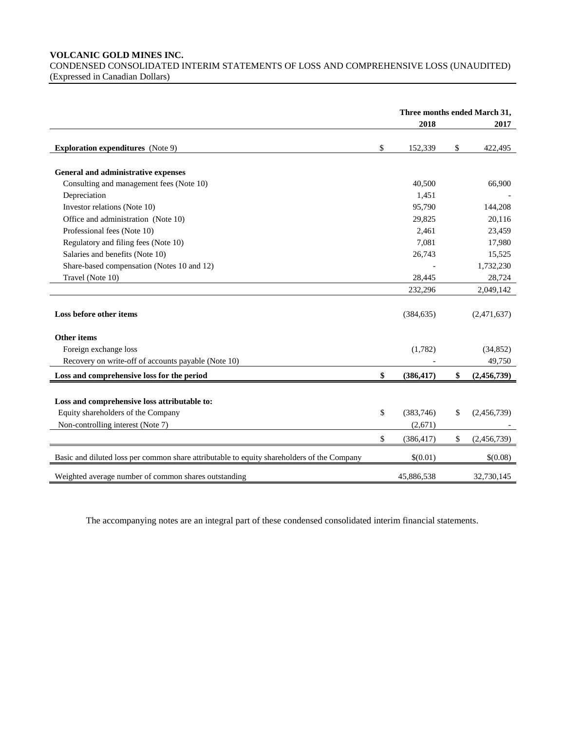### **VOLCANIC GOLD MINES INC.**

CONDENSED CONSOLIDATED INTERIM STATEMENTS OF LOSS AND COMPREHENSIVE LOSS (UNAUDITED) (Expressed in Canadian Dollars)

|                                                                                            | Three months ended March 31, |                   |
|--------------------------------------------------------------------------------------------|------------------------------|-------------------|
|                                                                                            | 2018                         | 2017              |
| <b>Exploration expenditures</b> (Note 9)                                                   | \$<br>152,339                | \$<br>422,495     |
| General and administrative expenses                                                        |                              |                   |
| Consulting and management fees (Note 10)                                                   | 40,500                       | 66,900            |
| Depreciation                                                                               | 1,451                        |                   |
| Investor relations (Note 10)                                                               | 95,790                       | 144,208           |
| Office and administration (Note 10)                                                        | 29,825                       | 20,116            |
| Professional fees (Note 10)                                                                | 2,461                        | 23,459            |
| Regulatory and filing fees (Note 10)                                                       | 7,081                        | 17,980            |
| Salaries and benefits (Note 10)                                                            | 26,743                       | 15,525            |
| Share-based compensation (Notes 10 and 12)                                                 |                              | 1,732,230         |
| Travel (Note 10)                                                                           | 28,445                       | 28,724            |
|                                                                                            | 232,296                      | 2,049,142         |
| Loss before other items                                                                    | (384, 635)                   | (2,471,637)       |
| Other items                                                                                |                              |                   |
| Foreign exchange loss                                                                      | (1,782)                      | (34, 852)         |
| Recovery on write-off of accounts payable (Note 10)                                        |                              | 49,750            |
| Loss and comprehensive loss for the period                                                 | \$<br>(386, 417)             | \$<br>(2,456,739) |
|                                                                                            |                              |                   |
| Loss and comprehensive loss attributable to:                                               |                              |                   |
| Equity shareholders of the Company                                                         | \$<br>(383,746)              | \$<br>(2,456,739) |
| Non-controlling interest (Note 7)                                                          | (2,671)                      |                   |
|                                                                                            | \$<br>(386, 417)             | \$<br>(2,456,739) |
| Basic and diluted loss per common share attributable to equity shareholders of the Company | \$(0.01)                     | \$(0.08)          |
| Weighted average number of common shares outstanding                                       | 45,886,538                   | 32,730,145        |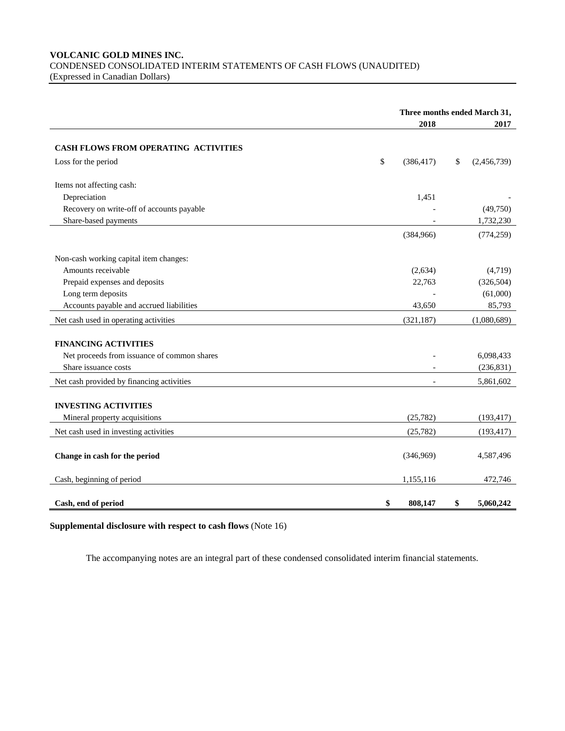## **VOLCANIC GOLD MINES INC.** CONDENSED CONSOLIDATED INTERIM STATEMENTS OF CASH FLOWS (UNAUDITED) (Expressed in Canadian Dollars)

|                                             | Three months ended March 31, |                   |
|---------------------------------------------|------------------------------|-------------------|
|                                             | 2018                         | 2017              |
|                                             |                              |                   |
| CASH FLOWS FROM OPERATING ACTIVITIES        |                              |                   |
| Loss for the period                         | \$<br>(386, 417)             | \$<br>(2,456,739) |
|                                             |                              |                   |
| Items not affecting cash:                   |                              |                   |
| Depreciation                                | 1,451                        |                   |
| Recovery on write-off of accounts payable   |                              | (49,750)          |
| Share-based payments                        |                              | 1,732,230         |
|                                             | (384,966)                    | (774, 259)        |
|                                             |                              |                   |
| Non-cash working capital item changes:      |                              |                   |
| Amounts receivable                          | (2, 634)                     | (4,719)           |
| Prepaid expenses and deposits               | 22,763                       | (326, 504)        |
| Long term deposits                          |                              | (61,000)          |
| Accounts payable and accrued liabilities    | 43,650                       | 85,793            |
| Net cash used in operating activities       | (321, 187)                   | (1,080,689)       |
|                                             |                              |                   |
| <b>FINANCING ACTIVITIES</b>                 |                              |                   |
| Net proceeds from issuance of common shares |                              | 6,098,433         |
| Share issuance costs                        |                              | (236, 831)        |
| Net cash provided by financing activities   |                              | 5,861,602         |
|                                             |                              |                   |
| <b>INVESTING ACTIVITIES</b>                 |                              |                   |
| Mineral property acquisitions               | (25, 782)                    | (193, 417)        |
| Net cash used in investing activities       | (25, 782)                    | (193, 417)        |
|                                             |                              |                   |
| Change in cash for the period               | (346,969)                    | 4,587,496         |
|                                             |                              |                   |
| Cash, beginning of period                   | 1,155,116                    | 472,746           |
|                                             |                              |                   |
| Cash, end of period                         | \$<br>808,147                | \$<br>5,060,242   |

# **Supplemental disclosure with respect to cash flows** (Note 16)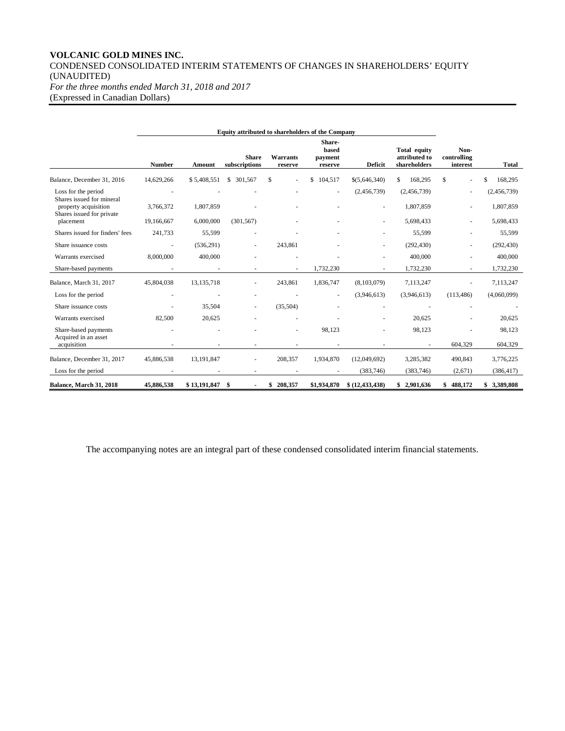# **VOLCANIC GOLD MINES INC.** CONDENSED CONSOLIDATED INTERIM STATEMENTS OF CHANGES IN SHAREHOLDERS' EQUITY (UNAUDITED) *For the three months ended March 31, 2018 and 2017*

(Expressed in Canadian Dollars)

| <b>Equity attributed to shareholders of the Company</b>                        |               |              |                               |                            |                                       |                   |                                               |                                 |               |
|--------------------------------------------------------------------------------|---------------|--------------|-------------------------------|----------------------------|---------------------------------------|-------------------|-----------------------------------------------|---------------------------------|---------------|
|                                                                                | <b>Number</b> | Amount       | <b>Share</b><br>subscriptions | <b>Warrants</b><br>reserve | Share-<br>based<br>payment<br>reserve | <b>Deficit</b>    | Total equity<br>attributed to<br>shareholders | Non-<br>controlling<br>interest | Total         |
| Balance, December 31, 2016                                                     | 14,629,266    | \$5,408,551  | 301,567<br>\$                 | \$.                        | \$<br>104,517                         | \$(5,646,340)     | 168,295<br>\$                                 | \$                              | \$<br>168,295 |
| Loss for the period                                                            |               |              |                               |                            | ٠                                     | (2,456,739)       | (2,456,739)                                   |                                 | (2,456,739)   |
| Shares issued for mineral<br>property acquisition<br>Shares issued for private | 3,766,372     | 1,807,859    |                               |                            |                                       |                   | 1,807,859                                     |                                 | 1,807,859     |
| placement                                                                      | 19,166,667    | 6,000,000    | (301, 567)                    |                            |                                       |                   | 5,698,433                                     |                                 | 5,698,433     |
| Shares issued for finders' fees                                                | 241,733       | 55,599       |                               |                            |                                       |                   | 55,599                                        |                                 | 55,599        |
| Share issuance costs                                                           |               | (536,291)    |                               | 243,861                    |                                       |                   | (292, 430)                                    |                                 | (292, 430)    |
| Warrants exercised                                                             | 8,000,000     | 400,000      |                               |                            |                                       |                   | 400,000                                       |                                 | 400,000       |
| Share-based payments                                                           |               |              |                               |                            | 1,732,230                             |                   | 1,732,230                                     |                                 | 1,732,230     |
| Balance, March 31, 2017                                                        | 45,804,038    | 13, 135, 718 |                               | 243,861                    | 1,836,747                             | (8, 103, 079)     | 7,113,247                                     |                                 | 7,113,247     |
| Loss for the period                                                            |               |              |                               |                            |                                       | (3,946,613)       | (3,946,613)                                   | (113, 486)                      | (4,060,099)   |
| Share issuance costs                                                           |               | 35.504       |                               | (35,504)                   |                                       |                   |                                               |                                 |               |
| Warrants exercised                                                             | 82,500        | 20,625       |                               |                            |                                       |                   | 20,625                                        |                                 | 20,625        |
| Share-based payments                                                           |               |              |                               |                            | 98,123                                |                   | 98,123                                        |                                 | 98,123        |
| Acquired in an asset<br>acquisition                                            |               |              |                               |                            |                                       |                   |                                               | 604,329                         | 604,329       |
| Balance, December 31, 2017                                                     | 45,886,538    | 13, 191, 847 |                               | 208,357                    | 1,934,870                             | (12,049,692)      | 3,285,382                                     | 490,843                         | 3,776,225     |
| Loss for the period                                                            |               |              |                               |                            |                                       | (383, 746)        | (383, 746)                                    | (2,671)                         | (386, 417)    |
| Balance, March 31, 2018                                                        | 45,886,538    | \$13,191,847 | \$                            | 208,357<br>\$              | \$1,934,870                           | \$ (12, 433, 438) | \$2,901,636                                   | \$488,172                       | 3,389,808     |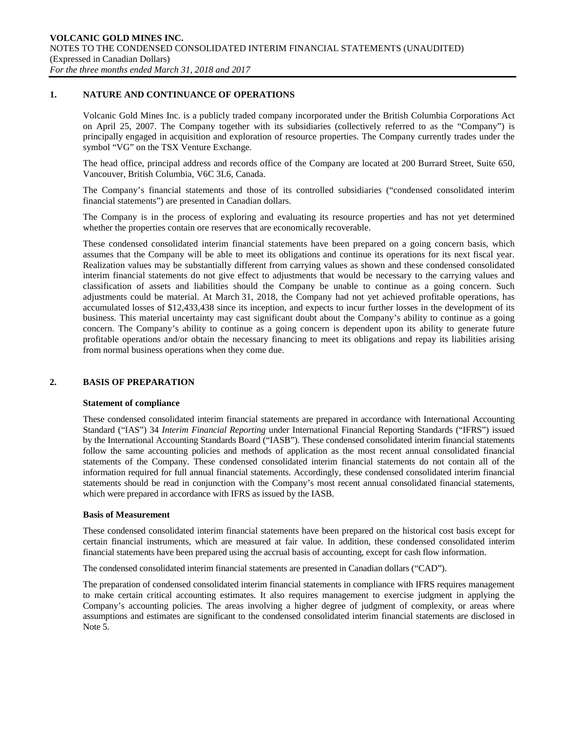## **1. NATURE AND CONTINUANCE OF OPERATIONS**

Volcanic Gold Mines Inc. is a publicly traded company incorporated under the British Columbia Corporations Act on April 25, 2007. The Company together with its subsidiaries (collectively referred to as the "Company") is principally engaged in acquisition and exploration of resource properties. The Company currently trades under the symbol "VG" on the TSX Venture Exchange.

The head office, principal address and records office of the Company are located at 200 Burrard Street, Suite 650, Vancouver, British Columbia, V6C 3L6, Canada.

The Company's financial statements and those of its controlled subsidiaries ("condensed consolidated interim financial statements") are presented in Canadian dollars.

The Company is in the process of exploring and evaluating its resource properties and has not yet determined whether the properties contain ore reserves that are economically recoverable.

These condensed consolidated interim financial statements have been prepared on a going concern basis, which assumes that the Company will be able to meet its obligations and continue its operations for its next fiscal year. Realization values may be substantially different from carrying values as shown and these condensed consolidated interim financial statements do not give effect to adjustments that would be necessary to the carrying values and classification of assets and liabilities should the Company be unable to continue as a going concern. Such adjustments could be material. At March 31, 2018, the Company had not yet achieved profitable operations, has accumulated losses of \$12,433,438 since its inception, and expects to incur further losses in the development of its business. This material uncertainty may cast significant doubt about the Company's ability to continue as a going concern. The Company's ability to continue as a going concern is dependent upon its ability to generate future profitable operations and/or obtain the necessary financing to meet its obligations and repay its liabilities arising from normal business operations when they come due.

### **2. BASIS OF PREPARATION**

### **Statement of compliance**

These condensed consolidated interim financial statements are prepared in accordance with International Accounting Standard ("IAS") 34 *Interim Financial Reporting* under International Financial Reporting Standards ("IFRS") issued by the International Accounting Standards Board ("IASB"). These condensed consolidated interim financial statements follow the same accounting policies and methods of application as the most recent annual consolidated financial statements of the Company. These condensed consolidated interim financial statements do not contain all of the information required for full annual financial statements. Accordingly, these condensed consolidated interim financial statements should be read in conjunction with the Company's most recent annual consolidated financial statements, which were prepared in accordance with IFRS as issued by the IASB.

### **Basis of Measurement**

These condensed consolidated interim financial statements have been prepared on the historical cost basis except for certain financial instruments, which are measured at fair value. In addition, these condensed consolidated interim financial statements have been prepared using the accrual basis of accounting, except for cash flow information.

The condensed consolidated interim financial statements are presented in Canadian dollars ("CAD").

The preparation of condensed consolidated interim financial statements in compliance with IFRS requires management to make certain critical accounting estimates. It also requires management to exercise judgment in applying the Company's accounting policies. The areas involving a higher degree of judgment of complexity, or areas where assumptions and estimates are significant to the condensed consolidated interim financial statements are disclosed in Note 5.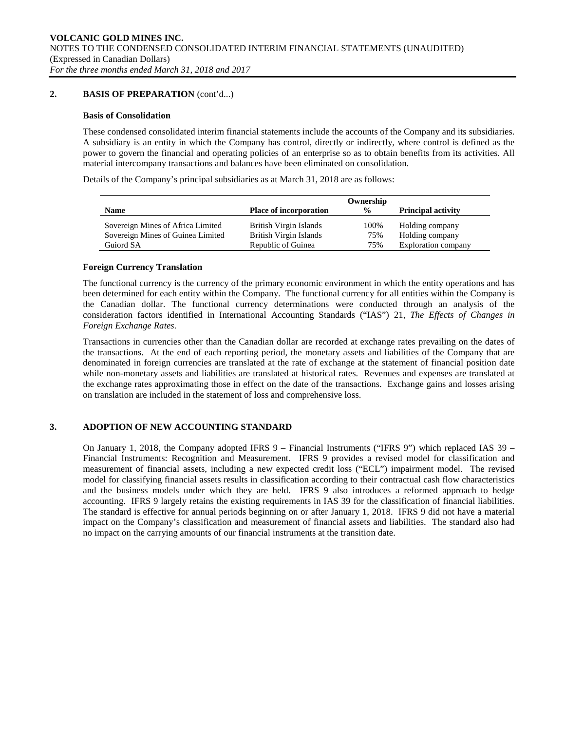## **2. BASIS OF PREPARATION** (cont'd...)

## **Basis of Consolidation**

These condensed consolidated interim financial statements include the accounts of the Company and its subsidiaries. A subsidiary is an entity in which the Company has control, directly or indirectly, where control is defined as the power to govern the financial and operating policies of an enterprise so as to obtain benefits from its activities. All material intercompany transactions and balances have been eliminated on consolidation.

Details of the Company's principal subsidiaries as at March 31, 2018 are as follows:

|                                   |                               | Ownership     |                           |
|-----------------------------------|-------------------------------|---------------|---------------------------|
| <b>Name</b>                       | <b>Place of incorporation</b> | $\frac{6}{9}$ | <b>Principal activity</b> |
| Sovereign Mines of Africa Limited | British Virgin Islands        | 100%          | Holding company           |
| Sovereign Mines of Guinea Limited | British Virgin Islands        | 75%           | Holding company           |
| Guiord SA                         | Republic of Guinea            | 75%           | Exploration company       |

### **Foreign Currency Translation**

The functional currency is the currency of the primary economic environment in which the entity operations and has been determined for each entity within the Company. The functional currency for all entities within the Company is the Canadian dollar. The functional currency determinations were conducted through an analysis of the consideration factors identified in International Accounting Standards ("IAS") 21, *The Effects of Changes in Foreign Exchange Rates*.

Transactions in currencies other than the Canadian dollar are recorded at exchange rates prevailing on the dates of the transactions. At the end of each reporting period, the monetary assets and liabilities of the Company that are denominated in foreign currencies are translated at the rate of exchange at the statement of financial position date while non-monetary assets and liabilities are translated at historical rates. Revenues and expenses are translated at the exchange rates approximating those in effect on the date of the transactions. Exchange gains and losses arising on translation are included in the statement of loss and comprehensive loss.

## **3. ADOPTION OF NEW ACCOUNTING STANDARD**

On January 1, 2018, the Company adopted IFRS 9 – Financial Instruments ("IFRS 9") which replaced IAS 39 – Financial Instruments: Recognition and Measurement. IFRS 9 provides a revised model for classification and measurement of financial assets, including a new expected credit loss ("ECL") impairment model. The revised model for classifying financial assets results in classification according to their contractual cash flow characteristics and the business models under which they are held. IFRS 9 also introduces a reformed approach to hedge accounting. IFRS 9 largely retains the existing requirements in IAS 39 for the classification of financial liabilities. The standard is effective for annual periods beginning on or after January 1, 2018. IFRS 9 did not have a material impact on the Company's classification and measurement of financial assets and liabilities. The standard also had no impact on the carrying amounts of our financial instruments at the transition date.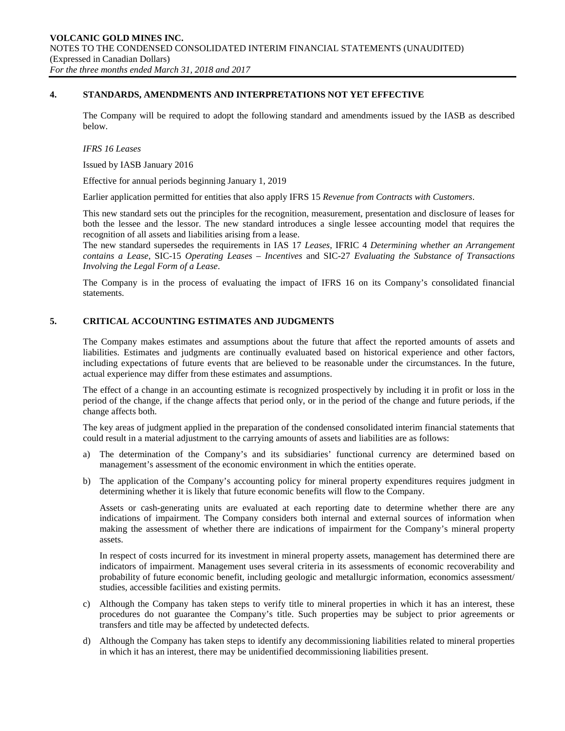### **4. STANDARDS, AMENDMENTS AND INTERPRETATIONS NOT YET EFFECTIVE**

The Company will be required to adopt the following standard and amendments issued by the IASB as described below.

#### *IFRS 16 Leases*

Issued by IASB January 2016

Effective for annual periods beginning January 1, 2019

Earlier application permitted for entities that also apply IFRS 15 *Revenue from Contracts with Customers*.

This new standard sets out the principles for the recognition, measurement, presentation and disclosure of leases for both the lessee and the lessor. The new standard introduces a single lessee accounting model that requires the recognition of all assets and liabilities arising from a lease.

The new standard supersedes the requirements in IAS 17 *Leases*, IFRIC 4 *Determining whether an Arrangement contains a Lease*, SIC-15 *Operating Leases – Incentives* and SIC-27 *Evaluating the Substance of Transactions Involving the Legal Form of a Lease*.

The Company is in the process of evaluating the impact of IFRS 16 on its Company's consolidated financial statements.

### **5. CRITICAL ACCOUNTING ESTIMATES AND JUDGMENTS**

The Company makes estimates and assumptions about the future that affect the reported amounts of assets and liabilities. Estimates and judgments are continually evaluated based on historical experience and other factors, including expectations of future events that are believed to be reasonable under the circumstances. In the future, actual experience may differ from these estimates and assumptions.

The effect of a change in an accounting estimate is recognized prospectively by including it in profit or loss in the period of the change, if the change affects that period only, or in the period of the change and future periods, if the change affects both.

The key areas of judgment applied in the preparation of the condensed consolidated interim financial statements that could result in a material adjustment to the carrying amounts of assets and liabilities are as follows:

- a) The determination of the Company's and its subsidiaries' functional currency are determined based on management's assessment of the economic environment in which the entities operate.
- b) The application of the Company's accounting policy for mineral property expenditures requires judgment in determining whether it is likely that future economic benefits will flow to the Company.

Assets or cash-generating units are evaluated at each reporting date to determine whether there are any indications of impairment. The Company considers both internal and external sources of information when making the assessment of whether there are indications of impairment for the Company's mineral property assets.

In respect of costs incurred for its investment in mineral property assets, management has determined there are indicators of impairment. Management uses several criteria in its assessments of economic recoverability and probability of future economic benefit, including geologic and metallurgic information, economics assessment/ studies, accessible facilities and existing permits.

- c) Although the Company has taken steps to verify title to mineral properties in which it has an interest, these procedures do not guarantee the Company's title. Such properties may be subject to prior agreements or transfers and title may be affected by undetected defects.
- d) Although the Company has taken steps to identify any decommissioning liabilities related to mineral properties in which it has an interest, there may be unidentified decommissioning liabilities present.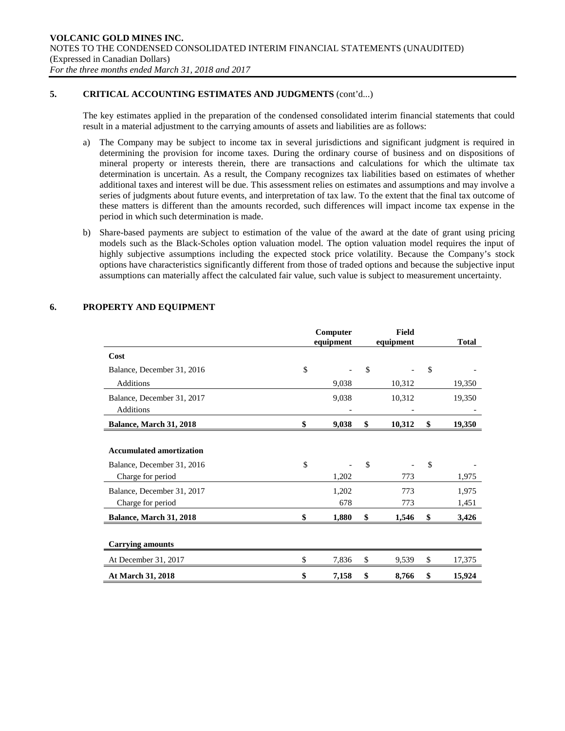## **5. CRITICAL ACCOUNTING ESTIMATES AND JUDGMENTS** (cont'd...)

The key estimates applied in the preparation of the condensed consolidated interim financial statements that could result in a material adjustment to the carrying amounts of assets and liabilities are as follows:

- a) The Company may be subject to income tax in several jurisdictions and significant judgment is required in determining the provision for income taxes. During the ordinary course of business and on dispositions of mineral property or interests therein, there are transactions and calculations for which the ultimate tax determination is uncertain. As a result, the Company recognizes tax liabilities based on estimates of whether additional taxes and interest will be due. This assessment relies on estimates and assumptions and may involve a series of judgments about future events, and interpretation of tax law. To the extent that the final tax outcome of these matters is different than the amounts recorded, such differences will impact income tax expense in the period in which such determination is made.
- b) Share-based payments are subject to estimation of the value of the award at the date of grant using pricing models such as the Black-Scholes option valuation model. The option valuation model requires the input of highly subjective assumptions including the expected stock price volatility. Because the Company's stock options have characteristics significantly different from those of traded options and because the subjective input assumptions can materially affect the calculated fair value, such value is subject to measurement uncertainty.

|                                                                                    | Computer<br>equipment | Field<br>equipment |               | <b>Total</b>   |
|------------------------------------------------------------------------------------|-----------------------|--------------------|---------------|----------------|
| Cost                                                                               |                       |                    |               |                |
| Balance, December 31, 2016                                                         | \$                    | \$                 | $\mathcal{S}$ |                |
| <b>Additions</b>                                                                   | 9,038                 | 10,312             |               | 19,350         |
| Balance, December 31, 2017                                                         | 9,038                 | 10,312             |               | 19,350         |
| Additions                                                                          |                       |                    |               |                |
| Balance, March 31, 2018                                                            | \$<br>9,038           | \$<br>10,312       | \$            | 19,350         |
| <b>Accumulated amortization</b><br>Balance, December 31, 2016<br>Charge for period | \$<br>1,202           | \$<br>773          | \$            | 1,975          |
| Balance, December 31, 2017<br>Charge for period                                    | 1,202<br>678          | 773<br>773         |               | 1,975<br>1,451 |
| Balance, March 31, 2018                                                            | 1,880                 | \$<br>1,546        | \$            | 3,426          |
| <b>Carrying amounts</b>                                                            |                       |                    |               |                |
| At December 31, 2017                                                               | \$<br>7,836           | \$<br>9,539        | \$            | 17,375         |
| At March 31, 2018                                                                  | \$<br>7,158           | \$<br>8,766        | \$            | 15,924         |

## **6. PROPERTY AND EQUIPMENT**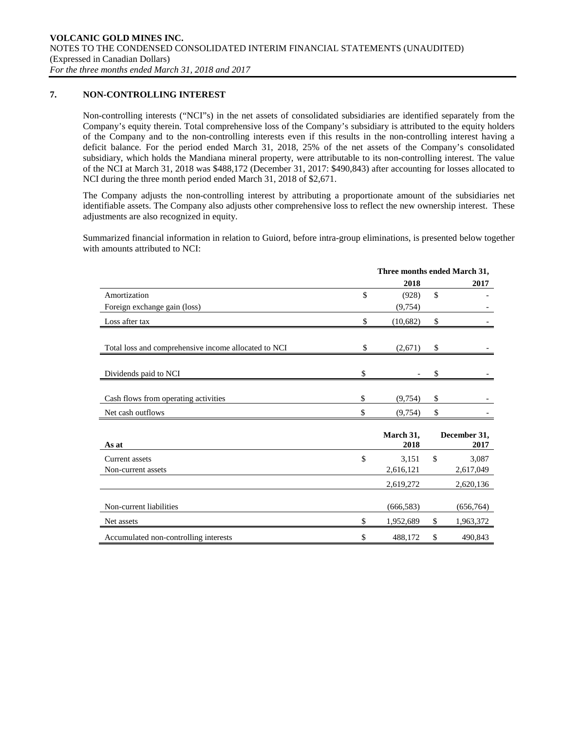## **7. NON-CONTROLLING INTEREST**

Non-controlling interests ("NCI"s) in the net assets of consolidated subsidiaries are identified separately from the Company's equity therein. Total comprehensive loss of the Company's subsidiary is attributed to the equity holders of the Company and to the non-controlling interests even if this results in the non-controlling interest having a deficit balance. For the period ended March 31, 2018, 25% of the net assets of the Company's consolidated subsidiary, which holds the Mandiana mineral property, were attributable to its non-controlling interest. The value of the NCI at March 31, 2018 was \$488,172 (December 31, 2017: \$490,843) after accounting for losses allocated to NCI during the three month period ended March 31, 2018 of \$2,671.

The Company adjusts the non-controlling interest by attributing a proportionate amount of the subsidiaries net identifiable assets. The Company also adjusts other comprehensive loss to reflect the new ownership interest. These adjustments are also recognized in equity.

Summarized financial information in relation to Guiord, before intra-group eliminations, is presented below together with amounts attributed to NCI:

|                                                      | Three months ended March 31, |                      |
|------------------------------------------------------|------------------------------|----------------------|
|                                                      | 2018                         | 2017                 |
| Amortization                                         | \$<br>(928)                  | \$                   |
| Foreign exchange gain (loss)                         | (9,754)                      |                      |
| Loss after tax                                       | \$<br>(10,682)               | \$                   |
| Total loss and comprehensive income allocated to NCI | \$<br>(2,671)                | \$                   |
| Dividends paid to NCI                                | \$                           | \$                   |
| Cash flows from operating activities                 | \$<br>(9,754)                | \$                   |
| Net cash outflows                                    | \$<br>(9, 754)               | \$                   |
| As at                                                | March 31,<br>2018            | December 31,<br>2017 |
| Current assets                                       | \$<br>3,151                  | \$<br>3,087          |
| Non-current assets                                   | 2,616,121                    | 2,617,049            |
|                                                      | 2,619,272                    | 2,620,136            |
| Non-current liabilities                              | (666, 583)                   | (656, 764)           |
| Net assets                                           | \$<br>1,952,689              | \$<br>1,963,372      |
| Accumulated non-controlling interests                | \$<br>488,172                | \$<br>490,843        |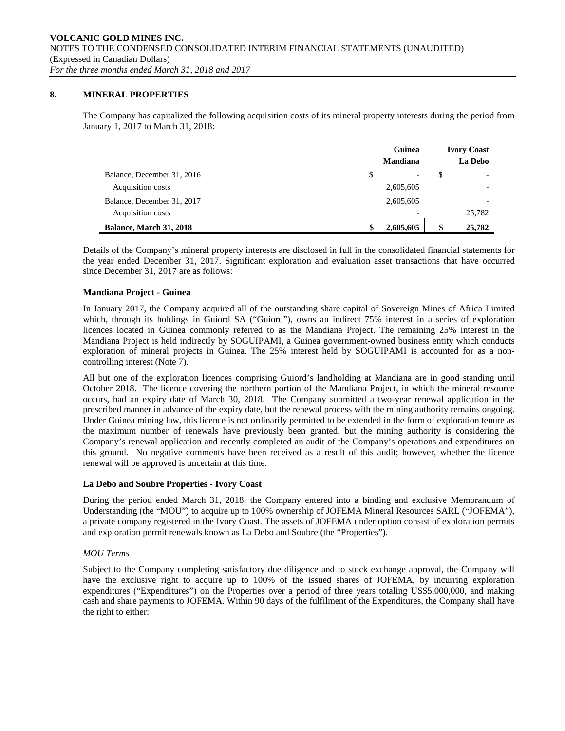### **8. MINERAL PROPERTIES**

The Company has capitalized the following acquisition costs of its mineral property interests during the period from January 1, 2017 to March 31, 2018:

|                                | Guinea          |   | <b>Ivory Coast</b> |
|--------------------------------|-----------------|---|--------------------|
|                                | <b>Mandiana</b> |   | La Debo            |
| Balance, December 31, 2016     | \$              | S |                    |
| Acquisition costs              | 2,605,605       |   |                    |
| Balance, December 31, 2017     | 2,605,605       |   |                    |
| Acquisition costs              |                 |   | 25,782             |
| <b>Balance, March 31, 2018</b> | 2,605,605       | S | 25,782             |

Details of the Company's mineral property interests are disclosed in full in the consolidated financial statements for the year ended December 31, 2017. Significant exploration and evaluation asset transactions that have occurred since December 31, 2017 are as follows:

### **Mandiana Project - Guinea**

In January 2017, the Company acquired all of the outstanding share capital of Sovereign Mines of Africa Limited which, through its holdings in Guiord SA ("Guiord"), owns an indirect 75% interest in a series of exploration licences located in Guinea commonly referred to as the Mandiana Project. The remaining 25% interest in the Mandiana Project is held indirectly by SOGUIPAMI, a Guinea government-owned business entity which conducts exploration of mineral projects in Guinea. The 25% interest held by SOGUIPAMI is accounted for as a noncontrolling interest (Note 7).

All but one of the exploration licences comprising Guiord's landholding at Mandiana are in good standing until October 2018. The licence covering the northern portion of the Mandiana Project, in which the mineral resource occurs, had an expiry date of March 30, 2018. The Company submitted a two-year renewal application in the prescribed manner in advance of the expiry date, but the renewal process with the mining authority remains ongoing. Under Guinea mining law, this licence is not ordinarily permitted to be extended in the form of exploration tenure as the maximum number of renewals have previously been granted, but the mining authority is considering the Company's renewal application and recently completed an audit of the Company's operations and expenditures on this ground. No negative comments have been received as a result of this audit; however, whether the licence renewal will be approved is uncertain at this time.

### **La Debo and Soubre Properties - Ivory Coast**

During the period ended March 31, 2018, the Company entered into a binding and exclusive Memorandum of Understanding (the "MOU") to acquire up to 100% ownership of JOFEMA Mineral Resources SARL ("JOFEMA"), a private company registered in the Ivory Coast. The assets of JOFEMA under option consist of exploration permits and exploration permit renewals known as La Debo and Soubre (the "Properties").

### *MOU Terms*

Subject to the Company completing satisfactory due diligence and to stock exchange approval, the Company will have the exclusive right to acquire up to 100% of the issued shares of JOFEMA, by incurring exploration expenditures ("Expenditures") on the Properties over a period of three years totaling US\$5,000,000, and making cash and share payments to JOFEMA. Within 90 days of the fulfilment of the Expenditures, the Company shall have the right to either: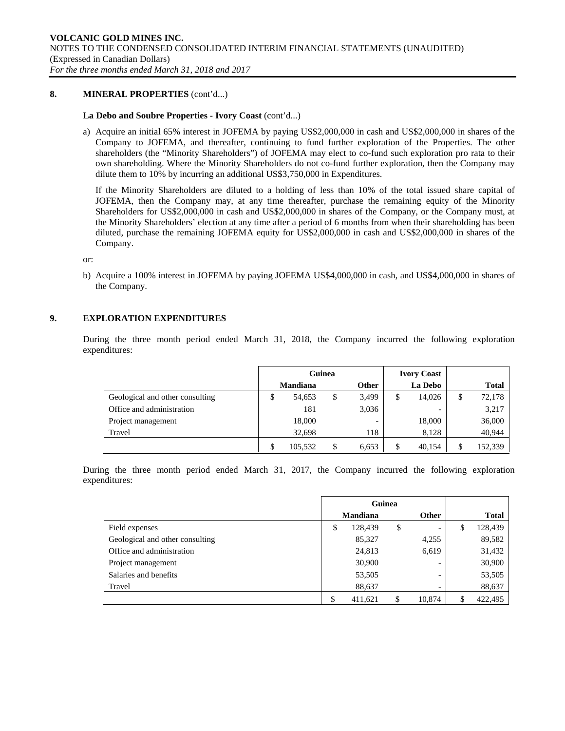### **8. MINERAL PROPERTIES** (cont'd...)

### **La Debo and Soubre Properties - Ivory Coast** (cont'd...)

a) Acquire an initial 65% interest in JOFEMA by paying US\$2,000,000 in cash and US\$2,000,000 in shares of the Company to JOFEMA, and thereafter, continuing to fund further exploration of the Properties. The other shareholders (the "Minority Shareholders") of JOFEMA may elect to co-fund such exploration pro rata to their own shareholding. Where the Minority Shareholders do not co-fund further exploration, then the Company may dilute them to 10% by incurring an additional US\$3,750,000 in Expenditures.

If the Minority Shareholders are diluted to a holding of less than 10% of the total issued share capital of JOFEMA, then the Company may, at any time thereafter, purchase the remaining equity of the Minority Shareholders for US\$2,000,000 in cash and US\$2,000,000 in shares of the Company, or the Company must, at the Minority Shareholders' election at any time after a period of 6 months from when their shareholding has been diluted, purchase the remaining JOFEMA equity for US\$2,000,000 in cash and US\$2,000,000 in shares of the Company.

or:

b) Acquire a 100% interest in JOFEMA by paying JOFEMA US\$4,000,000 in cash, and US\$4,000,000 in shares of the Company.

## **9. EXPLORATION EXPENDITURES**

During the three month period ended March 31, 2018, the Company incurred the following exploration expenditures:

|                                 | Guinea |                 |    | <b>Ivory Coast</b>       |              |    |              |
|---------------------------------|--------|-----------------|----|--------------------------|--------------|----|--------------|
|                                 |        | <b>Mandiana</b> |    | <b>Other</b>             | La Debo      |    | <b>Total</b> |
| Geological and other consulting | \$     | 54,653          | \$ | 3,499                    | \$<br>14,026 | \$ | 72,178       |
| Office and administration       |        | 181             |    | 3,036                    |              |    | 3,217        |
| Project management              |        | 18,000          |    | $\overline{\phantom{0}}$ | 18,000       |    | 36,000       |
| Travel                          |        | 32,698          |    | 118                      | 8,128        |    | 40,944       |
|                                 |        | 105.532         | \$ | 6,653                    | \$<br>40,154 | S  | 152,339      |

During the three month period ended March 31, 2017, the Company incurred the following exploration expenditures:

|                                 | Guinea          |    |              |               |
|---------------------------------|-----------------|----|--------------|---------------|
|                                 | <b>Mandiana</b> |    | <b>Other</b> | Total         |
| Field expenses                  | \$<br>128,439   | \$ | -            | \$<br>128,439 |
| Geological and other consulting | 85,327          |    | 4,255        | 89,582        |
| Office and administration       | 24,813          |    | 6,619        | 31,432        |
| Project management              | 30,900          |    |              | 30,900        |
| Salaries and benefits           | 53,505          |    | -            | 53,505        |
| Travel                          | 88,637          |    | -            | 88,637        |
|                                 | \$<br>411.621   | \$ | 10.874       | \$<br>422.495 |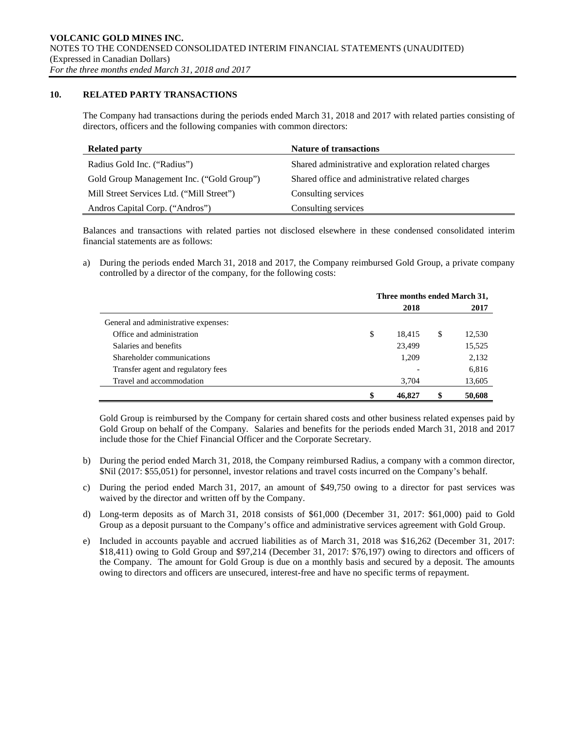### **10. RELATED PARTY TRANSACTIONS**

The Company had transactions during the periods ended March 31, 2018 and 2017 with related parties consisting of directors, officers and the following companies with common directors:

| <b>Related party</b>                      | <b>Nature of transactions</b>                         |
|-------------------------------------------|-------------------------------------------------------|
| Radius Gold Inc. ("Radius")               | Shared administrative and exploration related charges |
| Gold Group Management Inc. ("Gold Group") | Shared office and administrative related charges      |
| Mill Street Services Ltd. ("Mill Street") | Consulting services                                   |
| Andros Capital Corp. ("Andros")           | Consulting services                                   |

Balances and transactions with related parties not disclosed elsewhere in these condensed consolidated interim financial statements are as follows:

a) During the periods ended March 31, 2018 and 2017, the Company reimbursed Gold Group, a private company controlled by a director of the company, for the following costs:

|                                      | Three months ended March 31, |        |    |        |  |  |  |  |  |
|--------------------------------------|------------------------------|--------|----|--------|--|--|--|--|--|
|                                      |                              | 2018   |    | 2017   |  |  |  |  |  |
| General and administrative expenses: |                              |        |    |        |  |  |  |  |  |
| Office and administration            | \$                           | 18.415 | \$ | 12,530 |  |  |  |  |  |
| Salaries and benefits                |                              | 23,499 |    | 15,525 |  |  |  |  |  |
| Shareholder communications           |                              | 1,209  |    | 2,132  |  |  |  |  |  |
| Transfer agent and regulatory fees   |                              |        |    | 6,816  |  |  |  |  |  |
| Travel and accommodation             |                              | 3,704  |    | 13,605 |  |  |  |  |  |
|                                      |                              | 46,827 | S  | 50,608 |  |  |  |  |  |

Gold Group is reimbursed by the Company for certain shared costs and other business related expenses paid by Gold Group on behalf of the Company. Salaries and benefits for the periods ended March 31, 2018 and 2017 include those for the Chief Financial Officer and the Corporate Secretary.

- b) During the period ended March 31, 2018, the Company reimbursed Radius, a company with a common director, \$Nil (2017: \$55,051) for personnel, investor relations and travel costs incurred on the Company's behalf.
- c) During the period ended March 31, 2017, an amount of \$49,750 owing to a director for past services was waived by the director and written off by the Company.
- d) Long-term deposits as of March 31, 2018 consists of \$61,000 (December 31, 2017: \$61,000) paid to Gold Group as a deposit pursuant to the Company's office and administrative services agreement with Gold Group.
- e) Included in accounts payable and accrued liabilities as of March 31, 2018 was \$16,262 (December 31, 2017: \$18,411) owing to Gold Group and \$97,214 (December 31, 2017: \$76,197) owing to directors and officers of the Company. The amount for Gold Group is due on a monthly basis and secured by a deposit. The amounts owing to directors and officers are unsecured, interest-free and have no specific terms of repayment.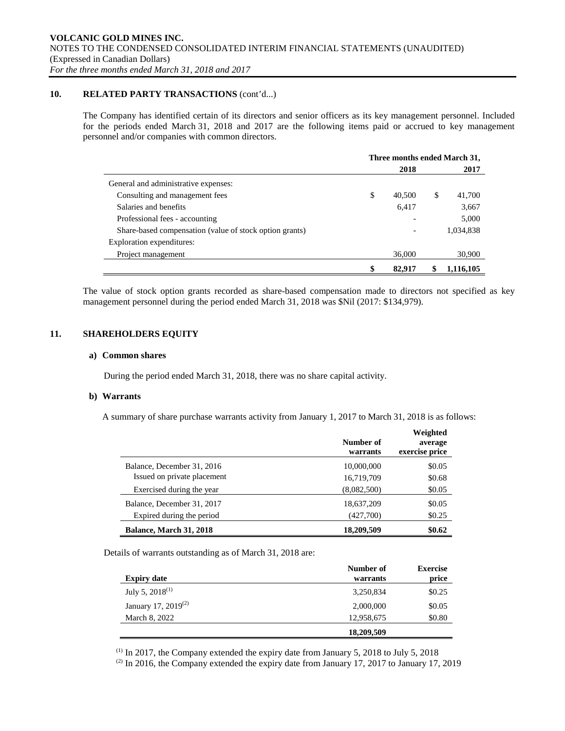### **10. RELATED PARTY TRANSACTIONS** (cont'd...)

The Company has identified certain of its directors and senior officers as its key management personnel. Included for the periods ended March 31, 2018 and 2017 are the following items paid or accrued to key management personnel and/or companies with common directors.

|                                                         | Three months ended March 31, |        |   |           |  |  |  |
|---------------------------------------------------------|------------------------------|--------|---|-----------|--|--|--|
|                                                         |                              | 2018   |   | 2017      |  |  |  |
| General and administrative expenses:                    |                              |        |   |           |  |  |  |
| Consulting and management fees                          | \$                           | 40,500 | S | 41,700    |  |  |  |
| Salaries and benefits                                   |                              | 6,417  |   | 3,667     |  |  |  |
| Professional fees - accounting                          |                              |        |   | 5,000     |  |  |  |
| Share-based compensation (value of stock option grants) |                              |        |   | 1,034,838 |  |  |  |
| Exploration expenditures:                               |                              |        |   |           |  |  |  |
| Project management                                      |                              | 36,000 |   | 30,900    |  |  |  |
|                                                         | \$                           | 82.917 |   | 1,116,105 |  |  |  |

The value of stock option grants recorded as share-based compensation made to directors not specified as key management personnel during the period ended March 31, 2018 was \$Nil (2017: \$134,979).

## **11. SHAREHOLDERS EQUITY**

### **a) Common shares**

During the period ended March 31, 2018, there was no share capital activity.

### **b) Warrants**

A summary of share purchase warrants activity from January 1, 2017 to March 31, 2018 is as follows:

|                                | Number of<br>warrants | Weighted<br>average<br>exercise price |
|--------------------------------|-----------------------|---------------------------------------|
| Balance, December 31, 2016     | 10,000,000            | \$0.05                                |
| Issued on private placement    | 16,719,709            | \$0.68                                |
| Exercised during the year      | (8,082,500)           | \$0.05                                |
| Balance, December 31, 2017     | 18,637,209            | \$0.05                                |
| Expired during the period      | (427,700)             | \$0.25                                |
| <b>Balance, March 31, 2018</b> | 18,209,509            | \$0.62                                |

Details of warrants outstanding as of March 31, 2018 are:

| <b>Expiry date</b>     | Number of<br>warrants | <b>Exercise</b><br>price |
|------------------------|-----------------------|--------------------------|
| July 5, $2018^{(1)}$   | 3,250,834             | \$0.25                   |
| January 17, 2019 $(2)$ | 2,000,000             | \$0.05                   |
| March 8, 2022          | 12,958,675            | \$0.80                   |
|                        | 18,209,509            |                          |

 $(1)$  In 2017, the Company extended the expiry date from January 5, 2018 to July 5, 2018

<sup>(2)</sup> In 2016, the Company extended the expiry date from January 17, 2017 to January 17, 2019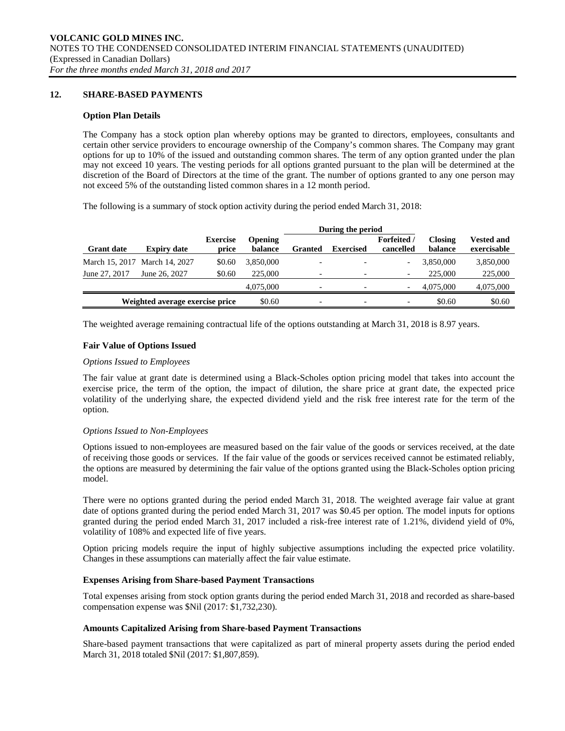## **12. SHARE-BASED PAYMENTS**

### **Option Plan Details**

The Company has a stock option plan whereby options may be granted to directors, employees, consultants and certain other service providers to encourage ownership of the Company's common shares. The Company may grant options for up to 10% of the issued and outstanding common shares. The term of any option granted under the plan may not exceed 10 years. The vesting periods for all options granted pursuant to the plan will be determined at the discretion of the Board of Directors at the time of the grant. The number of options granted to any one person may not exceed 5% of the outstanding listed common shares in a 12 month period.

The following is a summary of stock option activity during the period ended March 31, 2018:

|                   |                                 |                          |                           | During the period        |                  |                                 |                           |                                  |
|-------------------|---------------------------------|--------------------------|---------------------------|--------------------------|------------------|---------------------------------|---------------------------|----------------------------------|
| <b>Grant date</b> | <b>Expiry date</b>              | <b>Exercise</b><br>price | <b>Opening</b><br>balance | <b>Granted</b>           | <b>Exercised</b> | <b>Forfeited</b> /<br>cancelled | <b>Closing</b><br>balance | <b>Vested and</b><br>exercisable |
|                   | March 15, 2017 March 14, 2027   | \$0.60                   | 3.850,000                 |                          |                  | $\overline{\phantom{0}}$        | 3.850,000                 | 3,850,000                        |
| June 27, 2017     | June 26, 2027                   | \$0.60                   | 225,000                   |                          |                  | $\overline{\phantom{a}}$        | 225,000                   | 225,000                          |
|                   |                                 |                          | 4,075,000                 | $\overline{\phantom{0}}$ |                  | $\overline{\phantom{a}}$        | 4.075.000                 | 4,075,000                        |
|                   | Weighted average exercise price |                          | \$0.60                    | $\overline{\phantom{0}}$ |                  | $\overline{\phantom{a}}$        | \$0.60                    | \$0.60                           |

The weighted average remaining contractual life of the options outstanding at March 31, 2018 is 8.97 years.

### **Fair Value of Options Issued**

### *Options Issued to Employees*

The fair value at grant date is determined using a Black-Scholes option pricing model that takes into account the exercise price, the term of the option, the impact of dilution, the share price at grant date, the expected price volatility of the underlying share, the expected dividend yield and the risk free interest rate for the term of the option.

### *Options Issued to Non-Employees*

Options issued to non-employees are measured based on the fair value of the goods or services received, at the date of receiving those goods or services. If the fair value of the goods or services received cannot be estimated reliably, the options are measured by determining the fair value of the options granted using the Black-Scholes option pricing model.

There were no options granted during the period ended March 31, 2018. The weighted average fair value at grant date of options granted during the period ended March 31, 2017 was \$0.45 per option. The model inputs for options granted during the period ended March 31, 2017 included a risk-free interest rate of 1.21%, dividend yield of 0%, volatility of 108% and expected life of five years.

Option pricing models require the input of highly subjective assumptions including the expected price volatility. Changes in these assumptions can materially affect the fair value estimate.

### **Expenses Arising from Share-based Payment Transactions**

Total expenses arising from stock option grants during the period ended March 31, 2018 and recorded as share-based compensation expense was \$Nil (2017: \$1,732,230).

### **Amounts Capitalized Arising from Share-based Payment Transactions**

Share-based payment transactions that were capitalized as part of mineral property assets during the period ended March 31, 2018 totaled \$Nil (2017: \$1,807,859).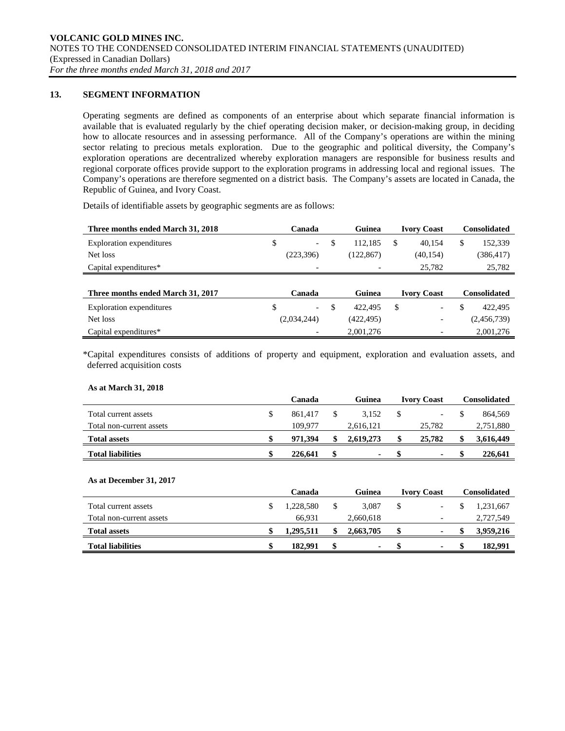## **13. SEGMENT INFORMATION**

Operating segments are defined as components of an enterprise about which separate financial information is available that is evaluated regularly by the chief operating decision maker, or decision-making group, in deciding how to allocate resources and in assessing performance. All of the Company's operations are within the mining sector relating to precious metals exploration. Due to the geographic and political diversity, the Company's exploration operations are decentralized whereby exploration managers are responsible for business results and regional corporate offices provide support to the exploration programs in addressing local and regional issues. The Company's operations are therefore segmented on a district basis. The Company's assets are located in Canada, the Republic of Guinea, and Ivory Coast.

Details of identifiable assets by geographic segments are as follows:

| Three months ended March 31, 2018 | Canada      |                          |    | Guinea                       |    | <b>Ivory Coast</b>       | <b>Consolidated</b> |             |  |
|-----------------------------------|-------------|--------------------------|----|------------------------------|----|--------------------------|---------------------|-------------|--|
| Exploration expenditures          | \$          | $\overline{\phantom{a}}$ | \$ | 112.185                      | \$ | 40.154                   | \$                  | 152,339     |  |
| Net loss                          |             | (223,396)                |    | (122, 867)                   |    | (40, 154)                |                     | (386, 417)  |  |
| Capital expenditures*             |             | $\overline{\phantom{0}}$ |    | $\overline{\phantom{0}}$     |    | 25,782                   |                     | 25,782      |  |
|                                   |             |                          |    |                              |    |                          |                     |             |  |
| Three months ended March 31, 2017 | Canada      |                          |    | Guinea<br><b>Ivory Coast</b> |    |                          | <b>Consolidated</b> |             |  |
| <b>Exploration</b> expenditures   | \$          | $\overline{\phantom{a}}$ | \$ | 422.495                      | \$ | $\overline{\phantom{0}}$ | \$                  | 422,495     |  |
| Net loss                          | (2,034,244) |                          |    | (422, 495)                   |    | $\overline{\phantom{0}}$ |                     | (2,456,739) |  |
| Capital expenditures*             |             |                          |    | 2,001,276                    |    |                          |                     | 2,001,276   |  |

\*Capital expenditures consists of additions of property and equipment, exploration and evaluation assets, and deferred acquisition costs

### **As at March 31, 2018**

|                          | Canada |         |  | Guinea    | <b>Ivory Coast</b>       |  | Consolidated |
|--------------------------|--------|---------|--|-----------|--------------------------|--|--------------|
| Total current assets     | \$     | 861.417 |  | 3.152     | $\overline{\phantom{a}}$ |  | 864.569      |
| Total non-current assets |        | 109.977 |  | 2,616,121 | 25,782                   |  | 2,751,880    |
| <b>Total assets</b>      |        | 971.394 |  | 2.619.273 | 25,782                   |  | 3,616,449    |
| <b>Total liabilities</b> |        | 226,641 |  | ۰         | ٠                        |  | 226,641      |

### **As at December 31, 2017**

|                          | Canada    |  | Guinea    | <b>Ivory Coast</b> |                          | Consolidated |           |
|--------------------------|-----------|--|-----------|--------------------|--------------------------|--------------|-----------|
| Total current assets     | 1.228.580 |  | 3.087     |                    | -                        |              | 1.231.667 |
| Total non-current assets | 66.931    |  | 2,660,618 |                    | $\overline{\phantom{0}}$ |              | 2,727,549 |
| <b>Total assets</b>      | 1,295,511 |  | 2,663,705 |                    | ۰                        |              | 3,959,216 |
| <b>Total liabilities</b> | 182.991   |  | ۰.        |                    |                          |              | 182.991   |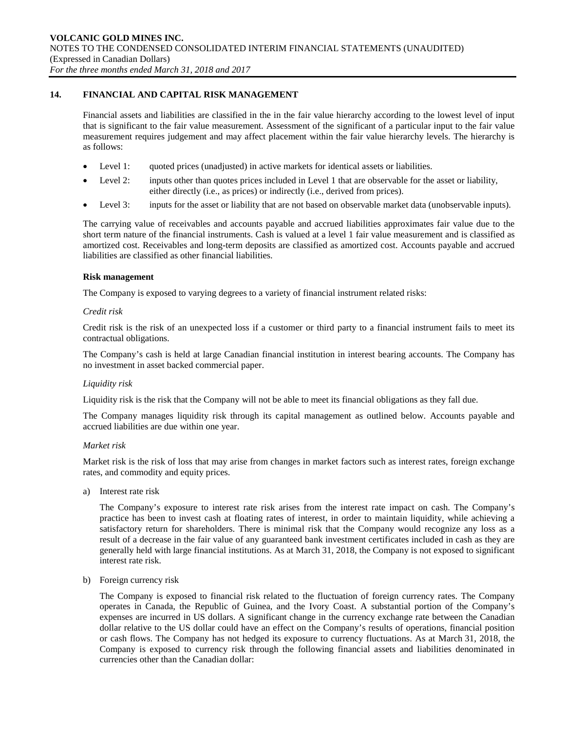## **14. FINANCIAL AND CAPITAL RISK MANAGEMENT**

Financial assets and liabilities are classified in the in the fair value hierarchy according to the lowest level of input that is significant to the fair value measurement. Assessment of the significant of a particular input to the fair value measurement requires judgement and may affect placement within the fair value hierarchy levels. The hierarchy is as follows:

- Level 1: quoted prices (unadjusted) in active markets for identical assets or liabilities.
- Level 2: inputs other than quotes prices included in Level 1 that are observable for the asset or liability, either directly (i.e., as prices) or indirectly (i.e., derived from prices).
- Level 3: inputs for the asset or liability that are not based on observable market data (unobservable inputs).

The carrying value of receivables and accounts payable and accrued liabilities approximates fair value due to the short term nature of the financial instruments. Cash is valued at a level 1 fair value measurement and is classified as amortized cost. Receivables and long-term deposits are classified as amortized cost. Accounts payable and accrued liabilities are classified as other financial liabilities.

### **Risk management**

The Company is exposed to varying degrees to a variety of financial instrument related risks:

### *Credit risk*

Credit risk is the risk of an unexpected loss if a customer or third party to a financial instrument fails to meet its contractual obligations.

The Company's cash is held at large Canadian financial institution in interest bearing accounts. The Company has no investment in asset backed commercial paper.

### *Liquidity risk*

Liquidity risk is the risk that the Company will not be able to meet its financial obligations as they fall due.

The Company manages liquidity risk through its capital management as outlined below. Accounts payable and accrued liabilities are due within one year.

### *Market risk*

Market risk is the risk of loss that may arise from changes in market factors such as interest rates, foreign exchange rates, and commodity and equity prices.

a) Interest rate risk

The Company's exposure to interest rate risk arises from the interest rate impact on cash. The Company's practice has been to invest cash at floating rates of interest, in order to maintain liquidity, while achieving a satisfactory return for shareholders. There is minimal risk that the Company would recognize any loss as a result of a decrease in the fair value of any guaranteed bank investment certificates included in cash as they are generally held with large financial institutions. As at March 31, 2018, the Company is not exposed to significant interest rate risk.

b) Foreign currency risk

The Company is exposed to financial risk related to the fluctuation of foreign currency rates. The Company operates in Canada, the Republic of Guinea, and the Ivory Coast. A substantial portion of the Company's expenses are incurred in US dollars. A significant change in the currency exchange rate between the Canadian dollar relative to the US dollar could have an effect on the Company's results of operations, financial position or cash flows. The Company has not hedged its exposure to currency fluctuations. As at March 31, 2018, the Company is exposed to currency risk through the following financial assets and liabilities denominated in currencies other than the Canadian dollar: